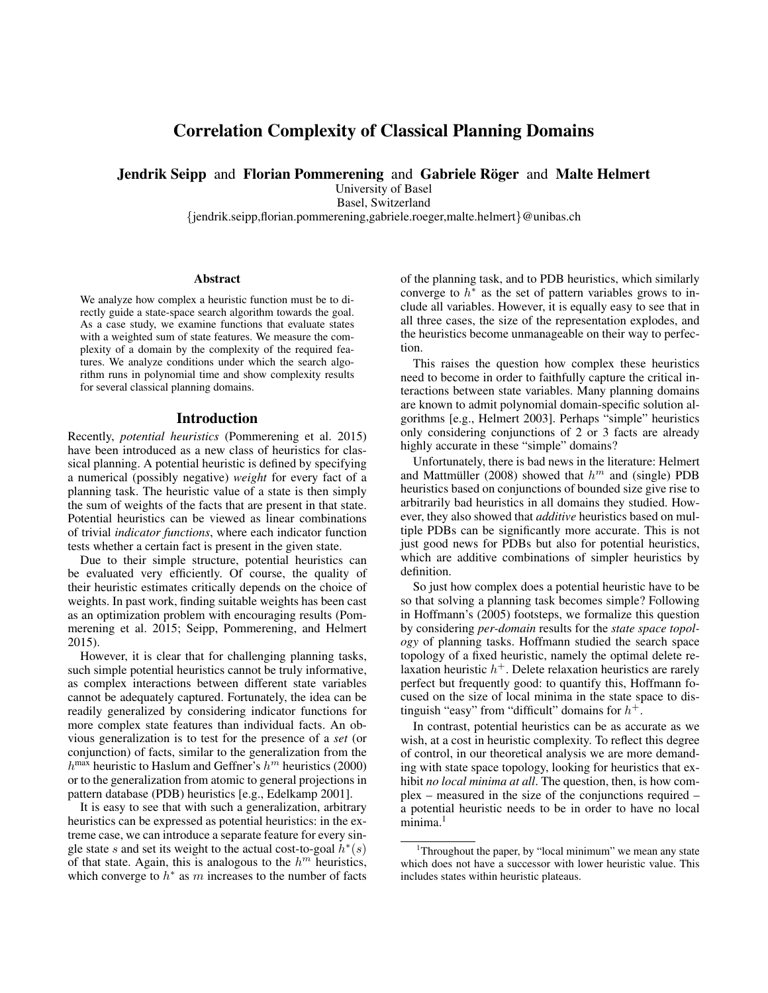# Correlation Complexity of Classical Planning Domains

**Jendrik Seipp and Florian Pommerening and Gabriele Röger and Malte Helmert** 

University of Basel

Basel, Switzerland

{jendrik.seipp,florian.pommerening,gabriele.roeger,malte.helmert}@unibas.ch

#### Abstract

We analyze how complex a heuristic function must be to directly guide a state-space search algorithm towards the goal. As a case study, we examine functions that evaluate states with a weighted sum of state features. We measure the complexity of a domain by the complexity of the required features. We analyze conditions under which the search algorithm runs in polynomial time and show complexity results for several classical planning domains.

## Introduction

Recently, *potential heuristics* (Pommerening et al. 2015) have been introduced as a new class of heuristics for classical planning. A potential heuristic is defined by specifying a numerical (possibly negative) *weight* for every fact of a planning task. The heuristic value of a state is then simply the sum of weights of the facts that are present in that state. Potential heuristics can be viewed as linear combinations of trivial *indicator functions*, where each indicator function tests whether a certain fact is present in the given state.

Due to their simple structure, potential heuristics can be evaluated very efficiently. Of course, the quality of their heuristic estimates critically depends on the choice of weights. In past work, finding suitable weights has been cast as an optimization problem with encouraging results (Pommerening et al. 2015; Seipp, Pommerening, and Helmert 2015).

However, it is clear that for challenging planning tasks, such simple potential heuristics cannot be truly informative, as complex interactions between different state variables cannot be adequately captured. Fortunately, the idea can be readily generalized by considering indicator functions for more complex state features than individual facts. An obvious generalization is to test for the presence of a *set* (or conjunction) of facts, similar to the generalization from the  $h^{\text{max}}$  heuristic to Haslum and Geffner's  $h^m$  heuristics (2000) or to the generalization from atomic to general projections in pattern database (PDB) heuristics [e.g., Edelkamp 2001].

It is easy to see that with such a generalization, arbitrary heuristics can be expressed as potential heuristics: in the extreme case, we can introduce a separate feature for every single state s and set its weight to the actual cost-to-goal  $h^*(s)$ of that state. Again, this is analogous to the  $h^m$  heuristics, which converge to  $h^*$  as m increases to the number of facts

of the planning task, and to PDB heuristics, which similarly converge to  $h^*$  as the set of pattern variables grows to include all variables. However, it is equally easy to see that in all three cases, the size of the representation explodes, and the heuristics become unmanageable on their way to perfection.

This raises the question how complex these heuristics need to become in order to faithfully capture the critical interactions between state variables. Many planning domains are known to admit polynomial domain-specific solution algorithms [e.g., Helmert 2003]. Perhaps "simple" heuristics only considering conjunctions of 2 or 3 facts are already highly accurate in these "simple" domains?

Unfortunately, there is bad news in the literature: Helmert and Mattmüller (2008) showed that  $h^m$  and (single) PDB heuristics based on conjunctions of bounded size give rise to arbitrarily bad heuristics in all domains they studied. However, they also showed that *additive* heuristics based on multiple PDBs can be significantly more accurate. This is not just good news for PDBs but also for potential heuristics, which are additive combinations of simpler heuristics by definition.

So just how complex does a potential heuristic have to be so that solving a planning task becomes simple? Following in Hoffmann's (2005) footsteps, we formalize this question by considering *per-domain* results for the *state space topology* of planning tasks. Hoffmann studied the search space topology of a fixed heuristic, namely the optimal delete relaxation heuristic  $h^+$ . Delete relaxation heuristics are rarely perfect but frequently good: to quantify this, Hoffmann focused on the size of local minima in the state space to distinguish "easy" from "difficult" domains for  $h^+$ .

In contrast, potential heuristics can be as accurate as we wish, at a cost in heuristic complexity. To reflect this degree of control, in our theoretical analysis we are more demanding with state space topology, looking for heuristics that exhibit *no local minima at all*. The question, then, is how complex – measured in the size of the conjunctions required – a potential heuristic needs to be in order to have no local minima.<sup>1</sup>

<sup>&</sup>lt;sup>1</sup>Throughout the paper, by "local minimum" we mean any state which does not have a successor with lower heuristic value. This includes states within heuristic plateaus.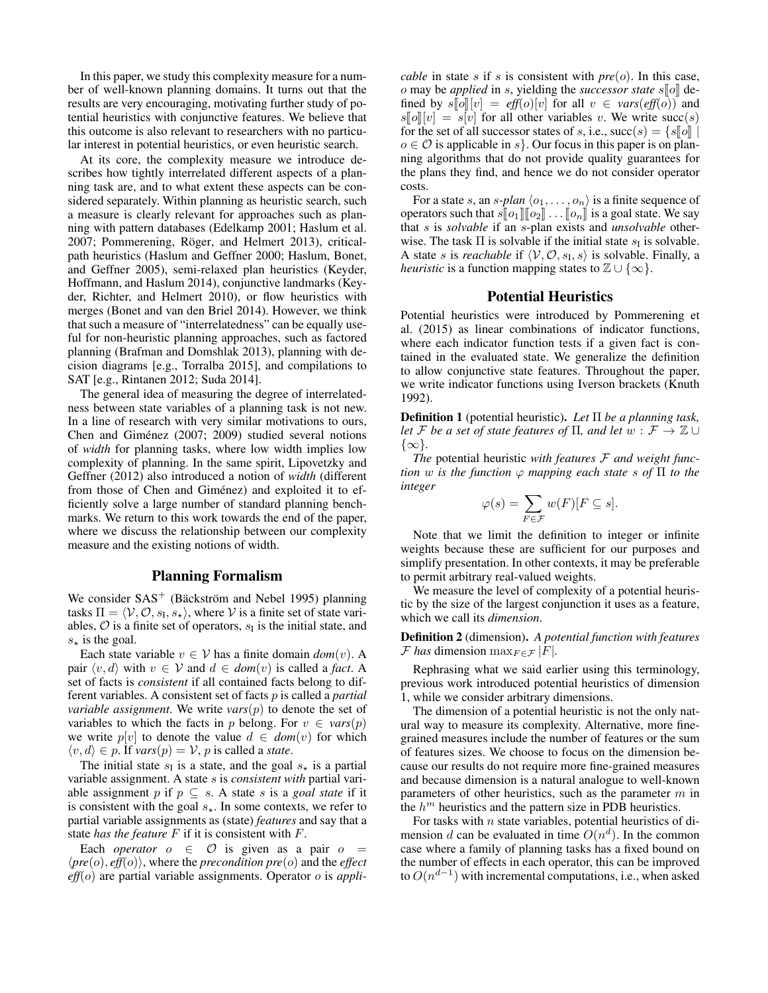In this paper, we study this complexity measure for a number of well-known planning domains. It turns out that the results are very encouraging, motivating further study of potential heuristics with conjunctive features. We believe that this outcome is also relevant to researchers with no particular interest in potential heuristics, or even heuristic search.

At its core, the complexity measure we introduce describes how tightly interrelated different aspects of a planning task are, and to what extent these aspects can be considered separately. Within planning as heuristic search, such a measure is clearly relevant for approaches such as planning with pattern databases (Edelkamp 2001; Haslum et al. 2007; Pommerening, Röger, and Helmert 2013), criticalpath heuristics (Haslum and Geffner 2000; Haslum, Bonet, and Geffner 2005), semi-relaxed plan heuristics (Keyder, Hoffmann, and Haslum 2014), conjunctive landmarks (Keyder, Richter, and Helmert 2010), or flow heuristics with merges (Bonet and van den Briel 2014). However, we think that such a measure of "interrelatedness" can be equally useful for non-heuristic planning approaches, such as factored planning (Brafman and Domshlak 2013), planning with decision diagrams [e.g., Torralba 2015], and compilations to SAT [e.g., Rintanen 2012; Suda 2014].

The general idea of measuring the degree of interrelatedness between state variables of a planning task is not new. In a line of research with very similar motivations to ours, Chen and Giménez (2007; 2009) studied several notions of *width* for planning tasks, where low width implies low complexity of planning. In the same spirit, Lipovetzky and Geffner (2012) also introduced a notion of *width* (different from those of Chen and Giménez) and exploited it to efficiently solve a large number of standard planning benchmarks. We return to this work towards the end of the paper, where we discuss the relationship between our complexity measure and the existing notions of width.

### Planning Formalism

We consider  $SAS^+$  (Bäckström and Nebel 1995) planning tasks  $\Pi = \langle V, O, s_{\text{I}}, s_{\star} \rangle$ , where V is a finite set of state variables,  $\mathcal O$  is a finite set of operators,  $s_I$  is the initial state, and  $s_{\star}$  is the goal.

Each state variable  $v \in V$  has a finite domain  $dom(v)$ . A pair  $\langle v, d \rangle$  with  $v \in V$  and  $d \in dom(v)$  is called a *fact*. A set of facts is *consistent* if all contained facts belong to different variables. A consistent set of facts p is called a *partial variable assignment*. We write  $vars(p)$  to denote the set of variables to which the facts in p belong. For  $v \in vars(p)$ we write  $p[v]$  to denote the value  $d \in dom(v)$  for which  $\langle v, d \rangle$  ∈ *p*. If *vars*(*p*) =  $V$ , *p* is called a *state*.

The initial state  $s<sub>I</sub>$  is a state, and the goal  $s<sub>\star</sub>$  is a partial variable assignment. A state s is *consistent with* partial variable assignment p if  $p \subseteq s$ . A state s is a *goal state* if it is consistent with the goal  $s_{\star}$ . In some contexts, we refer to partial variable assignments as (state) *features* and say that a state *has the feature* F if it is consistent with F.

Each *operator*  $o \in \mathcal{O}$  is given as a pair  $o =$  $\langle pre(o), eff(o) \rangle$ , where the *precondition*  $pre(o)$  and the *effect eff*(o) are partial variable assignments. Operator o is *appli-* *cable* in state s if s is consistent with  $pre(o)$ . In this case, o may be *applied* in s, yielding the *successor state* s[o] defined by  $s[\![o]\!][v] = eff(o)[v]$  for all  $v \in vars(eff(o))$  and  $s\llbracket o\rrbracket[v] = s[v]$  for all other variables v. We write succ(s) for the set of all successor states of s, i.e.,  $succ(s) = \{s[[o]] \mid$  $o \in \mathcal{O}$  is applicable in s. Our focus in this paper is on planning algorithms that do not provide quality guarantees for the plans they find, and hence we do not consider operator costs.

For a state s, an s-plan  $\langle o_1, \ldots, o_n \rangle$  is a finite sequence of operators such that  $s[\![o_1]\!][\![o_2]\!]\ldots[\![o_n]\!]$  is a goal state. We say that s is *solvable* if an s-plan exists and *unsolvable* otherwise. The task  $\Pi$  is solvable if the initial state  $s_I$  is solvable. A state *s* is *reachable* if  $\langle V, O, s_I, s \rangle$  is solvable. Finally, a *heuristic* is a function mapping states to  $\mathbb{Z} \cup \{\infty\}.$ 

### Potential Heuristics

Potential heuristics were introduced by Pommerening et al. (2015) as linear combinations of indicator functions, where each indicator function tests if a given fact is contained in the evaluated state. We generalize the definition to allow conjunctive state features. Throughout the paper, we write indicator functions using Iverson brackets (Knuth 1992).

Definition 1 (potential heuristic). *Let* Π *be a planning task, let F be a set of state features of*  $\Pi$ *, and let*  $w : \mathcal{F} \to \mathbb{Z} \cup$ {∞}*.*

*The* potential heuristic *with features* F *and weight function* w *is the function*  $\varphi$  *mapping each state* s of  $\Pi$  *to the integer*

$$
\varphi(s) = \sum_{F \in \mathcal{F}} w(F)[F \subseteq s].
$$

Note that we limit the definition to integer or infinite weights because these are sufficient for our purposes and simplify presentation. In other contexts, it may be preferable to permit arbitrary real-valued weights.

We measure the level of complexity of a potential heuristic by the size of the largest conjunction it uses as a feature, which we call its *dimension*.

Definition 2 (dimension). *A potential function with features F* has dimension  $\max_{F \in \mathcal{F}} |F|$ .

Rephrasing what we said earlier using this terminology, previous work introduced potential heuristics of dimension 1, while we consider arbitrary dimensions.

The dimension of a potential heuristic is not the only natural way to measure its complexity. Alternative, more finegrained measures include the number of features or the sum of features sizes. We choose to focus on the dimension because our results do not require more fine-grained measures and because dimension is a natural analogue to well-known parameters of other heuristics, such as the parameter  $m$  in the  $h^m$  heuristics and the pattern size in PDB heuristics.

For tasks with  $n$  state variables, potential heuristics of dimension d can be evaluated in time  $O(n^d)$ . In the common case where a family of planning tasks has a fixed bound on the number of effects in each operator, this can be improved to  $O(n^{d-1})$  with incremental computations, i.e., when asked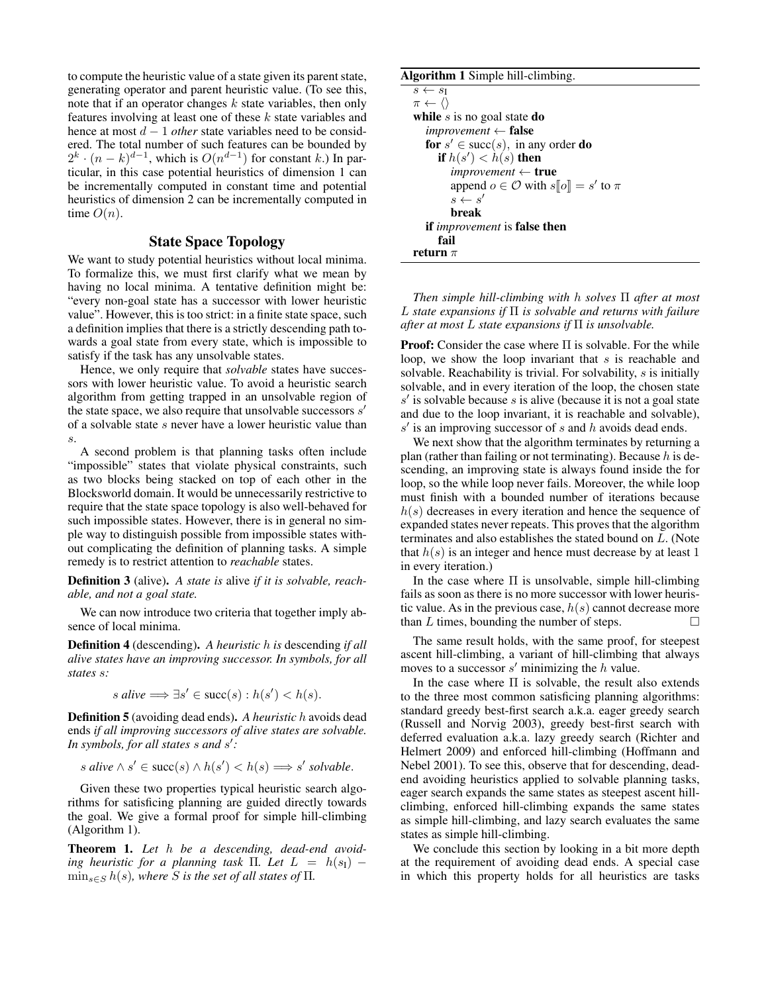to compute the heuristic value of a state given its parent state, generating operator and parent heuristic value. (To see this, note that if an operator changes  $k$  state variables, then only features involving at least one of these  $k$  state variables and hence at most d − 1 *other* state variables need to be considered. The total number of such features can be bounded by  $2^k \cdot (n-k)^{d-1}$ , which is  $O(n^{d-1})$  for constant k.) In particular, in this case potential heuristics of dimension 1 can be incrementally computed in constant time and potential heuristics of dimension 2 can be incrementally computed in time  $O(n)$ .

# State Space Topology

We want to study potential heuristics without local minima. To formalize this, we must first clarify what we mean by having no local minima. A tentative definition might be: "every non-goal state has a successor with lower heuristic value". However, this is too strict: in a finite state space, such a definition implies that there is a strictly descending path towards a goal state from every state, which is impossible to satisfy if the task has any unsolvable states.

Hence, we only require that *solvable* states have successors with lower heuristic value. To avoid a heuristic search algorithm from getting trapped in an unsolvable region of the state space, we also require that unsolvable successors  $s'$ of a solvable state s never have a lower heuristic value than s.

A second problem is that planning tasks often include "impossible" states that violate physical constraints, such as two blocks being stacked on top of each other in the Blocksworld domain. It would be unnecessarily restrictive to require that the state space topology is also well-behaved for such impossible states. However, there is in general no simple way to distinguish possible from impossible states without complicating the definition of planning tasks. A simple remedy is to restrict attention to *reachable* states.

Definition 3 (alive). *A state is* alive *if it is solvable, reachable, and not a goal state.*

We can now introduce two criteria that together imply absence of local minima.

Definition 4 (descending). *A heuristic* h *is* descending *if all alive states have an improving successor. In symbols, for all states* s*:*

$$
s \text{ alive} \Longrightarrow \exists s' \in \text{succ}(s) : h(s') < h(s).
$$

Definition 5 (avoiding dead ends). *A heuristic* h avoids dead ends *if all improving successors of alive states are solvable. In symbols, for all states* s *and* s 0 *:*

s alive 
$$
\wedge
$$
 s'  $\in$  succ(s)  $\wedge$  h(s')  $\langle$  h(s)  $\Longrightarrow$  s' solvable.

Given these two properties typical heuristic search algorithms for satisficing planning are guided directly towards the goal. We give a formal proof for simple hill-climbing (Algorithm 1).

Theorem 1. *Let* h *be a descending, dead-end avoiding heuristic for a planning task*  $\Pi$ *. Let*  $L = h(s_1)$  –  $\min_{s \in S} h(s)$ *, where S is the set of all states of*  $\Pi$ *.* 

#### Algorithm 1 Simple hill-climbing.

```
s \leftarrow s_I\pi \leftarrow \langle \ranglewhile s is no goal state do
   improvement ← false
   for s' \in \text{succ}(s), in any order do
       if h(s') < h(s) then
          improvement ← true
          append o \in \mathcal{O} with s[\![o]\!] = s' to \pis \leftarrow s'break
   if improvement is false then
      fail
return \pi
```
*Then simple hill-climbing with* h *solves* Π *after at most* L *state expansions if* Π *is solvable and returns with failure after at most* L *state expansions if* Π *is unsolvable.*

**Proof:** Consider the case where  $\Pi$  is solvable. For the while loop, we show the loop invariant that  $s$  is reachable and solvable. Reachability is trivial. For solvability, s is initially solvable, and in every iteration of the loop, the chosen state  $s'$  is solvable because s is alive (because it is not a goal state and due to the loop invariant, it is reachable and solvable),  $s'$  is an improving successor of  $s$  and  $h$  avoids dead ends.

We next show that the algorithm terminates by returning a plan (rather than failing or not terminating). Because  $h$  is descending, an improving state is always found inside the for loop, so the while loop never fails. Moreover, the while loop must finish with a bounded number of iterations because  $h(s)$  decreases in every iteration and hence the sequence of expanded states never repeats. This proves that the algorithm terminates and also establishes the stated bound on L. (Note that  $h(s)$  is an integer and hence must decrease by at least 1 in every iteration.)

In the case where  $\Pi$  is unsolvable, simple hill-climbing fails as soon as there is no more successor with lower heuristic value. As in the previous case,  $h(s)$  cannot decrease more than  $L$  times, bounding the number of steps.

The same result holds, with the same proof, for steepest ascent hill-climbing, a variant of hill-climbing that always moves to a successor  $s'$  minimizing the  $h$  value.

In the case where Π is solvable, the result also extends to the three most common satisficing planning algorithms: standard greedy best-first search a.k.a. eager greedy search (Russell and Norvig 2003), greedy best-first search with deferred evaluation a.k.a. lazy greedy search (Richter and Helmert 2009) and enforced hill-climbing (Hoffmann and Nebel 2001). To see this, observe that for descending, deadend avoiding heuristics applied to solvable planning tasks, eager search expands the same states as steepest ascent hillclimbing, enforced hill-climbing expands the same states as simple hill-climbing, and lazy search evaluates the same states as simple hill-climbing.

We conclude this section by looking in a bit more depth at the requirement of avoiding dead ends. A special case in which this property holds for all heuristics are tasks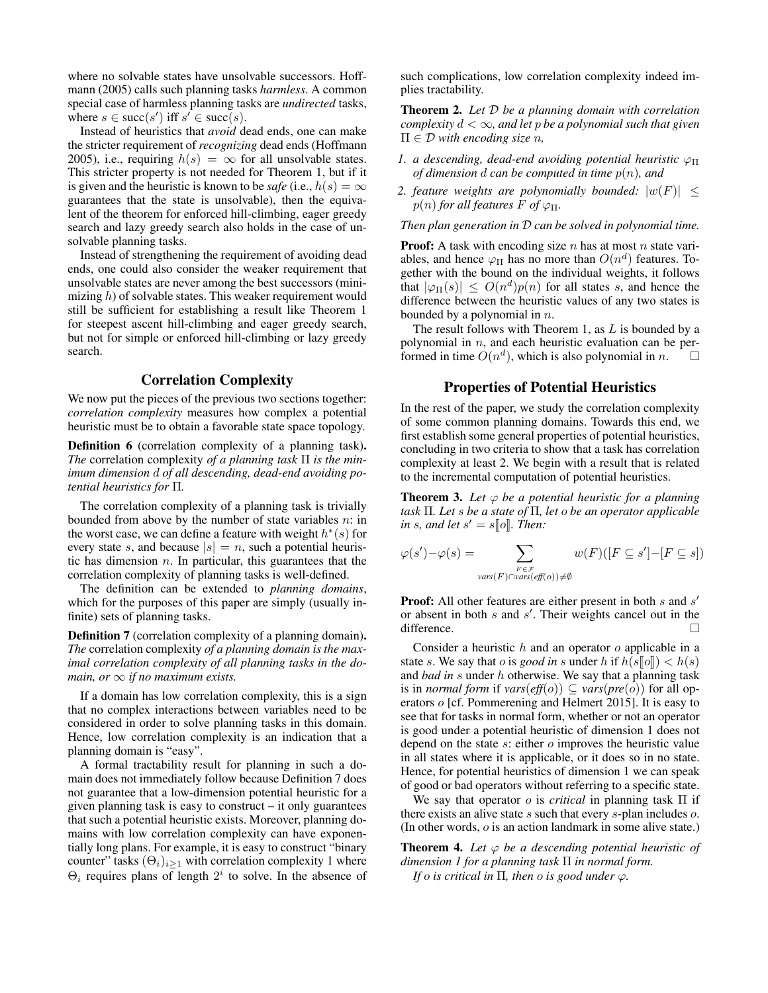where no solvable states have unsolvable successors. Hoffmann (2005) calls such planning tasks *harmless*. A common special case of harmless planning tasks are *undirected* tasks, where  $s \in \text{succ}(s')$  iff  $s' \in \text{succ}(s)$ .

Instead of heuristics that *avoid* dead ends, one can make the stricter requirement of *recognizing* dead ends (Hoffmann 2005), i.e., requiring  $h(s) = \infty$  for all unsolvable states. This stricter property is not needed for Theorem 1, but if it is given and the heuristic is known to be *safe* (i.e.,  $h(s) = \infty$ guarantees that the state is unsolvable), then the equivalent of the theorem for enforced hill-climbing, eager greedy search and lazy greedy search also holds in the case of unsolvable planning tasks.

Instead of strengthening the requirement of avoiding dead ends, one could also consider the weaker requirement that unsolvable states are never among the best successors (minimizing h) of solvable states. This weaker requirement would still be sufficient for establishing a result like Theorem 1 for steepest ascent hill-climbing and eager greedy search, but not for simple or enforced hill-climbing or lazy greedy search.

# Correlation Complexity

We now put the pieces of the previous two sections together: *correlation complexity* measures how complex a potential heuristic must be to obtain a favorable state space topology.

Definition 6 (correlation complexity of a planning task). *The* correlation complexity *of a planning task* Π *is the minimum dimension* d *of all descending, dead-end avoiding potential heuristics for* Π*.*

The correlation complexity of a planning task is trivially bounded from above by the number of state variables  $n$ : in the worst case, we can define a feature with weight  $h^*(s)$  for every state s, and because  $|s| = n$ , such a potential heuristic has dimension  $n$ . In particular, this guarantees that the correlation complexity of planning tasks is well-defined.

The definition can be extended to *planning domains*, which for the purposes of this paper are simply (usually infinite) sets of planning tasks.

Definition 7 (correlation complexity of a planning domain). *The* correlation complexity *of a planning domain is the maximal correlation complexity of all planning tasks in the domain, or*  $\infty$  *if no maximum exists.* 

If a domain has low correlation complexity, this is a sign that no complex interactions between variables need to be considered in order to solve planning tasks in this domain. Hence, low correlation complexity is an indication that a planning domain is "easy".

A formal tractability result for planning in such a domain does not immediately follow because Definition 7 does not guarantee that a low-dimension potential heuristic for a given planning task is easy to construct – it only guarantees that such a potential heuristic exists. Moreover, planning domains with low correlation complexity can have exponentially long plans. For example, it is easy to construct "binary counter" tasks  $(\Theta_i)_{i\geq 1}$  with correlation complexity 1 where  $\Theta_i$  requires plans of length  $2^i$  to solve. In the absence of

such complications, low correlation complexity indeed implies tractability.

Theorem 2. *Let* D *be a planning domain with correlation complexity*  $d < \infty$ *, and let p be a polynomial such that given* Π ∈ D *with encoding size* n*,*

- *1. a descending, dead-end avoiding potential heuristic*  $\varphi_{\Pi}$ *of dimension* d *can be computed in time* p(n)*, and*
- 2. feature weights are polynomially bounded:  $|w(F)| \leq$  $p(n)$  *for all features*  $F$  *of*  $\varphi_{\Pi}$ *.*

*Then plan generation in* D *can be solved in polynomial time.*

**Proof:** A task with encoding size  $n$  has at most  $n$  state variables, and hence  $\varphi_{\Pi}$  has no more than  $O(n^d)$  features. Together with the bound on the individual weights, it follows that  $|\varphi_{\Pi}(s)| \leq O(n^d)p(n)$  for all states s, and hence the difference between the heuristic values of any two states is bounded by a polynomial in  $n$ .

The result follows with Theorem 1, as  $L$  is bounded by a polynomial in  $n$ , and each heuristic evaluation can be performed in time  $O(n^d)$ , which is also polynomial in n.  $\Box$ 

# Properties of Potential Heuristics

In the rest of the paper, we study the correlation complexity of some common planning domains. Towards this end, we first establish some general properties of potential heuristics, concluding in two criteria to show that a task has correlation complexity at least 2. We begin with a result that is related to the incremental computation of potential heuristics.

**Theorem 3.** Let  $\varphi$  be a potential heuristic for a planning *task* Π*. Let* s *be a state of* Π*, let* o *be an operator applicable*  $\lim s$ *, and let*  $s' = s[\![o]\!]$ *. Then:* 

$$
\varphi(s') - \varphi(s) = \sum_{\substack{F \in \mathcal{F} \\ \text{vars}(F) \cap \text{vars}(\text{eff}(o)) \neq \emptyset}} w(F)([F \subseteq s'] - [F \subseteq s])
$$

**Proof:** All other features are either present in both  $s$  and  $s'$ or absent in both  $s$  and  $s'$ . Their weights cancel out in the difference.

Consider a heuristic  $h$  and an operator  $o$  applicable in a state s. We say that o is *good in* s under h if  $h(s\llbracket o \rrbracket) < h(s)$ and *bad in* s under h otherwise. We say that a planning task is in *normal form* if  $vars(eff(o)) \subseteq vars(pre(o))$  for all operators o [cf. Pommerening and Helmert 2015]. It is easy to see that for tasks in normal form, whether or not an operator is good under a potential heuristic of dimension 1 does not depend on the state  $s$ : either  $o$  improves the heuristic value in all states where it is applicable, or it does so in no state. Hence, for potential heuristics of dimension 1 we can speak of good or bad operators without referring to a specific state.

We say that operator o is *critical* in planning task Π if there exists an alive state s such that every s-plan includes o. (In other words,  $o$  is an action landmark in some alive state.)

**Theorem 4.** Let  $\varphi$  be a descending potential heuristic of *dimension 1 for a planning task* Π *in normal form.*

*If*  $\sigma$  *is critical in*  $\Pi$ *, then*  $\sigma$  *is good under*  $\varphi$ *.*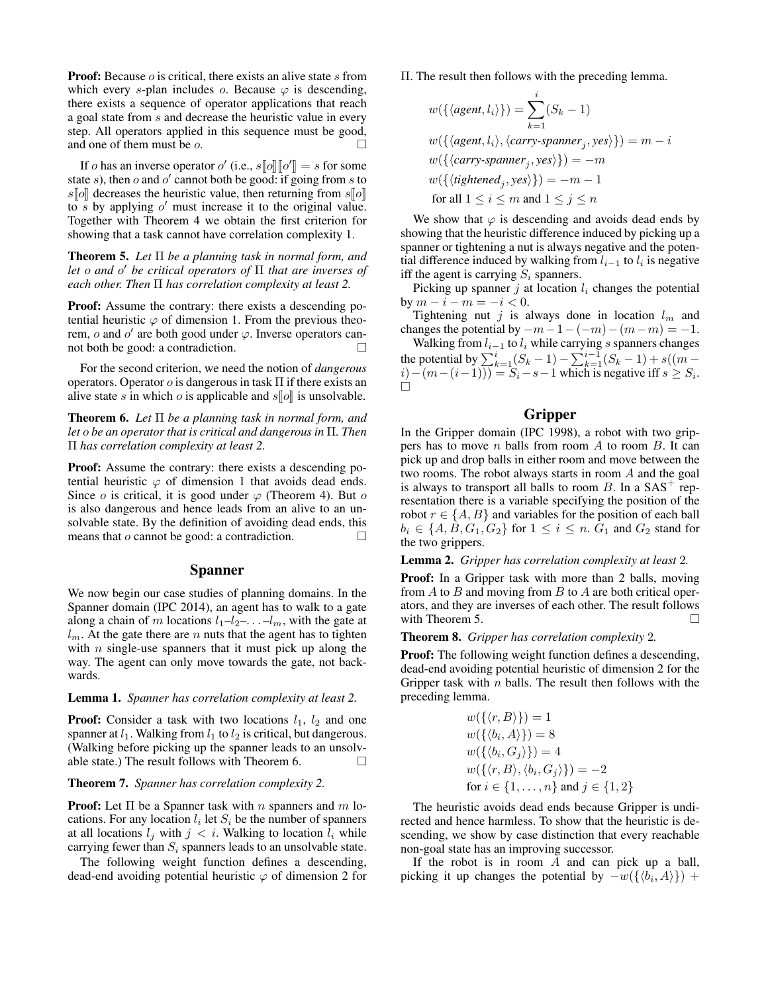**Proof:** Because  $o$  is critical, there exists an alive state  $s$  from which every s-plan includes  $\alpha$ . Because  $\varphi$  is descending, there exists a sequence of operator applications that reach a goal state from s and decrease the heuristic value in every step. All operators applied in this sequence must be good, and one of them must be o.

If *o* has an inverse operator *o'* (i.e.,  $s[\![o]\!] [\![o']\!] = s$  for some to some to some only if some from s to state s), then o and o' cannot both be good: if going from s to  $s\llbracket o\rrbracket$  decreases the heuristic value, then returning from  $s\llbracket o\rrbracket$ to  $\overline{s}$  by applying  $o'$  must increase it to the original value. Together with Theorem 4 we obtain the first criterion for showing that a task cannot have correlation complexity 1.

Theorem 5. *Let* Π *be a planning task in normal form, and let* o *and* o <sup>0</sup> *be critical operators of* Π *that are inverses of each other. Then* Π *has correlation complexity at least 2.*

Proof: Assume the contrary: there exists a descending potential heuristic  $\varphi$  of dimension 1. From the previous theorem,  $o$  and  $o'$  are both good under  $\varphi$ . Inverse operators cannot both be good: a contradiction.

For the second criterion, we need the notion of *dangerous* operators. Operator  $\sigma$  is dangerous in task  $\Pi$  if there exists an alive state s in which o is applicable and  $s\llbracket o \rrbracket$  is unsolvable.

Theorem 6. *Let* Π *be a planning task in normal form, and let* o *be an operator that is critical and dangerous in* Π*. Then* Π *has correlation complexity at least 2.*

Proof: Assume the contrary: there exists a descending potential heuristic  $\varphi$  of dimension 1 that avoids dead ends. Since  $\sigma$  is critical, it is good under  $\varphi$  (Theorem 4). But  $\sigma$ is also dangerous and hence leads from an alive to an unsolvable state. By the definition of avoiding dead ends, this means that  $o$  cannot be good: a contradiction.  $\Box$ 

#### Spanner

We now begin our case studies of planning domains. In the Spanner domain (IPC 2014), an agent has to walk to a gate along a chain of m locations  $l_1-l_2-\ldots-l_m$ , with the gate at  $l_m$ . At the gate there are n nuts that the agent has to tighten with  $n$  single-use spanners that it must pick up along the way. The agent can only move towards the gate, not backwards.

#### Lemma 1. *Spanner has correlation complexity at least 2.*

**Proof:** Consider a task with two locations  $l_1$ ,  $l_2$  and one spanner at  $l_1$ . Walking from  $l_1$  to  $l_2$  is critical, but dangerous. (Walking before picking up the spanner leads to an unsolvable state.) The result follows with Theorem 6.  $\Box$ 

## Theorem 7. *Spanner has correlation complexity 2.*

**Proof:** Let  $\Pi$  be a Spanner task with n spanners and m locations. For any location  $l_i$  let  $S_i$  be the number of spanners at all locations  $l_i$  with  $j < i$ . Walking to location  $l_i$  while carrying fewer than  $S_i$  spanners leads to an unsolvable state.

The following weight function defines a descending, dead-end avoiding potential heuristic  $\varphi$  of dimension 2 for Π. The result then follows with the preceding lemma.

$$
w(\{\langle agent, l_i \rangle\}) = \sum_{k=1}^{i} (S_k - 1)
$$
  
\n
$$
w(\{\langle agent, l_i \rangle, \langle carry\text{-}spamner_j, yes \rangle\}) = m - i
$$
  
\n
$$
w(\{\langle carry\text{-}spamner_j, yes \rangle\}) = -m
$$
  
\n
$$
w(\{\langle tighted_j, yes \rangle\}) = -m - 1
$$
  
\nfor all  $1 \le i \le m$  and  $1 \le j \le n$ 

We show that  $\varphi$  is descending and avoids dead ends by showing that the heuristic difference induced by picking up a spanner or tightening a nut is always negative and the potential difference induced by walking from  $l_{i-1}$  to  $l_i$  is negative iff the agent is carrying  $S_i$  spanners.

Picking up spanner  $j$  at location  $l_i$  changes the potential by  $m - i - m = -i < 0$ .

Tightening nut j is always done in location  $l_m$  and changes the potential by  $-m-1-(-m)-(m-m) = -1$ .

Walking from  $l_{i-1}$  to  $l_i$  while carrying s spanners changes the potential by  $\sum_{k=1}^{i} (S_k - 1) - \sum_{k=1}^{i-1} (S_k - 1) + s((m (i) - (m - (i-1))$ ) =  $S_i - s - 1$  which is negative iff  $s \geq S_i$ .  $\Box$ 

# Gripper

In the Gripper domain (IPC 1998), a robot with two grippers has to move  $n$  balls from room  $A$  to room  $B$ . It can pick up and drop balls in either room and move between the two rooms. The robot always starts in room A and the goal is always to transport all balls to room  $B$ . In a  $SAS<sup>+</sup>$  representation there is a variable specifying the position of the robot  $r \in \{A, B\}$  and variables for the position of each ball  $b_i \in \{A, B, G_1, G_2\}$  for  $1 \leq i \leq n$ .  $G_1$  and  $G_2$  stand for the two grippers.

Lemma 2. *Gripper has correlation complexity at least* 2*.*

Proof: In a Gripper task with more than 2 balls, moving from  $A$  to  $B$  and moving from  $B$  to  $A$  are both critical operators, and they are inverses of each other. The result follows with Theorem 5.  $\Box$ 

#### Theorem 8. *Gripper has correlation complexity* 2*.*

Proof: The following weight function defines a descending, dead-end avoiding potential heuristic of dimension 2 for the Gripper task with  $n$  balls. The result then follows with the preceding lemma.

$$
w({\langle r, B \rangle}) = 1
$$
  
\n
$$
w({\langle b_i, A \rangle}) = 8
$$
  
\n
$$
w({\langle b_i, G_j \rangle}) = 4
$$
  
\n
$$
w({\langle r, B \rangle, \langle b_i, G_j \rangle}) = -2
$$
  
\nfor  $i \in \{1, ..., n\}$  and  $j \in \{1, 2\}$ 

The heuristic avoids dead ends because Gripper is undirected and hence harmless. To show that the heuristic is descending, we show by case distinction that every reachable non-goal state has an improving successor.

If the robot is in room  $A$  and can pick up a ball, picking it up changes the potential by  $-w(\{\langle b_i, A \rangle\}) +$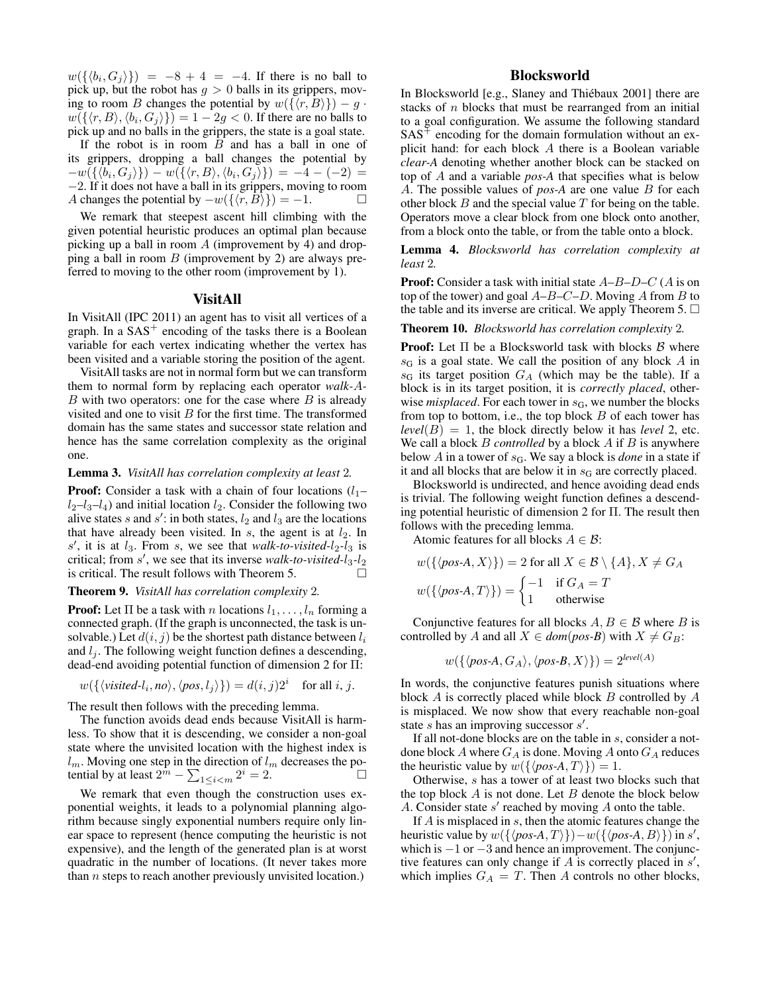$w(\{\langle b_i, G_j \rangle\}) = -8 + 4 = -4$ . If there is no ball to pick up, but the robot has  $g > 0$  balls in its grippers, moving to room B changes the potential by  $w({\langle r, B \rangle}) - g \cdot$  $w(\{\langle r, B \rangle, \langle b_i, G_j \rangle\}) = 1 - 2g < 0$ . If there are no balls to pick up and no balls in the grippers, the state is a goal state.

If the robot is in room  $B$  and has a ball in one of its grippers, dropping a ball changes the potential by  $-w(\{\langle b_i,G_j\rangle\})-w(\{\langle r,B\rangle,\langle b_i,G_j\rangle\})=-4-(-2)=$ −2. If it does not have a ball in its grippers, moving to room A changes the potential by  $-w({\lbrace \langle r, B \rangle \rbrace}) = -1.$ 

We remark that steepest ascent hill climbing with the given potential heuristic produces an optimal plan because picking up a ball in room  $\tilde{A}$  (improvement by 4) and dropping a ball in room  $B$  (improvement by 2) are always preferred to moving to the other room (improvement by 1).

#### VisitAll

In VisitAll (IPC 2011) an agent has to visit all vertices of a graph. In a  $SAS<sup>+</sup>$  encoding of the tasks there is a Boolean variable for each vertex indicating whether the vertex has been visited and a variable storing the position of the agent.

VisitAll tasks are not in normal form but we can transform them to normal form by replacing each operator *walk-*A*-* $B$  with two operators: one for the case where  $B$  is already visited and one to visit  $B$  for the first time. The transformed domain has the same states and successor state relation and hence has the same correlation complexity as the original one.

#### Lemma 3. *VisitAll has correlation complexity at least* 2*.*

**Proof:** Consider a task with a chain of four locations  $(l_1$  $l_2-l_3-l_4$ ) and initial location  $l_2$ . Consider the following two alive states s and s': in both states,  $l_2$  and  $l_3$  are the locations that have already been visited. In  $s$ , the agent is at  $l_2$ . In  $s'$ , it is at  $l_3$ . From s, we see that *walk-to-visited-l<sub>2</sub>-l<sub>3</sub>* is critical; from s', we see that its inverse *walk-to-visited-l*<sub>3</sub>-l<sub>2</sub> is critical. The result follows with Theorem 5.

## Theorem 9. *VisitAll has correlation complexity* 2*.*

**Proof:** Let  $\Pi$  be a task with n locations  $l_1, \ldots, l_n$  forming a connected graph. (If the graph is unconnected, the task is unsolvable.) Let  $d(i, j)$  be the shortest path distance between  $l_i$ and  $l_i$ . The following weight function defines a descending, dead-end avoiding potential function of dimension 2 for Π:

$$
w(\{\langle visited-l_i, no \rangle, \langle pos, l_j \rangle\}) = d(i, j)2^i
$$
 for all i, j.

The result then follows with the preceding lemma.

The function avoids dead ends because VisitAll is harmless. To show that it is descending, we consider a non-goal state where the unvisited location with the highest index is  $l_m$ . Moving one step in the direction of  $l_m$  decreases the potential by at least  $2^m - \sum_{1 \le i < m} 2^i = 2$ .

We remark that even though the construction uses exponential weights, it leads to a polynomial planning algorithm because singly exponential numbers require only linear space to represent (hence computing the heuristic is not expensive), and the length of the generated plan is at worst quadratic in the number of locations. (It never takes more than  $n$  steps to reach another previously unvisited location.)

# Blocksworld

In Blocksworld [e.g., Slaney and Thiébaux 2001] there are stacks of n blocks that must be rearranged from an initial to a goal configuration. We assume the following standard  $SAS<sup>+</sup>$  encoding for the domain formulation without an explicit hand: for each block A there is a Boolean variable *clear-A* denoting whether another block can be stacked on top of A and a variable *pos-A* that specifies what is below A. The possible values of *pos-A* are one value B for each other block  $B$  and the special value  $T$  for being on the table. Operators move a clear block from one block onto another, from a block onto the table, or from the table onto a block.

Lemma 4. *Blocksworld has correlation complexity at least* 2*.*

**Proof:** Consider a task with initial state  $A-B-D-C$  (A is on top of the tower) and goal  $A-B-C-D$ . Moving A from B to the table and its inverse are critical. We apply Theorem 5.  $\Box$ 

### Theorem 10. *Blocksworld has correlation complexity* 2*.*

**Proof:** Let  $\Pi$  be a Blocksworld task with blocks  $\beta$  where  $s_G$  is a goal state. We call the position of any block A in  $s_G$  its target position  $G_A$  (which may be the table). If a block is in its target position, it is *correctly placed*, otherwise *misplaced*. For each tower in  $s<sub>G</sub>$ , we number the blocks from top to bottom, i.e., the top block  $B$  of each tower has  $level(B) = 1$ , the block directly below it has *level* 2, etc. We call a block *B controlled* by a block *A* if *B* is anywhere below  $A$  in a tower of  $s<sub>G</sub>$ . We say a block is *done* in a state if it and all blocks that are below it in  $s<sub>G</sub>$  are correctly placed.

Blocksworld is undirected, and hence avoiding dead ends is trivial. The following weight function defines a descending potential heuristic of dimension 2 for Π. The result then follows with the preceding lemma.

Atomic features for all blocks  $A \in \mathcal{B}$ :

$$
w(\{\langle pos\text{-}A, X \rangle\}) = 2 \text{ for all } X \in \mathcal{B} \setminus \{A\}, X \neq G_A
$$

$$
w(\{\langle pos\text{-}A, T \rangle\}) = \begin{cases} -1 & \text{if } G_A = T \\ 1 & \text{otherwise} \end{cases}
$$

Conjunctive features for all blocks  $A, B \in \mathcal{B}$  where B is controlled by A and all  $X \in dom(pos-B)$  with  $X \neq G_B$ :

$$
w(\{\langle pos\text{-}A, G_A \rangle, \langle pos\text{-}B, X \rangle\}) = 2^{level(A)}
$$

In words, the conjunctive features punish situations where block  $A$  is correctly placed while block  $B$  controlled by  $A$ is misplaced. We now show that every reachable non-goal state  $s$  has an improving successor  $s'$ .

If all not-done blocks are on the table in s, consider a notdone block  $A$  where  $G_A$  is done. Moving  $A$  onto  $G_A$  reduces the heuristic value by  $w({\{\langle pos-A, T \rangle\}}) = 1$ .

Otherwise, s has a tower of at least two blocks such that the top block  $A$  is not done. Let  $B$  denote the block below A. Consider state  $s'$  reached by moving  $A$  onto the table.

If  $A$  is misplaced in  $s$ , then the atomic features change the heuristic value by  $w({\lbrace p \circ A, T \rbrace})-w({\lbrace p \circ A, B \rbrace})$  in s', which is  $-1$  or  $-3$  and hence an improvement. The conjunctive features can only change if  $\overline{A}$  is correctly placed in  $s'$ , which implies  $G_A = T$ . Then A controls no other blocks,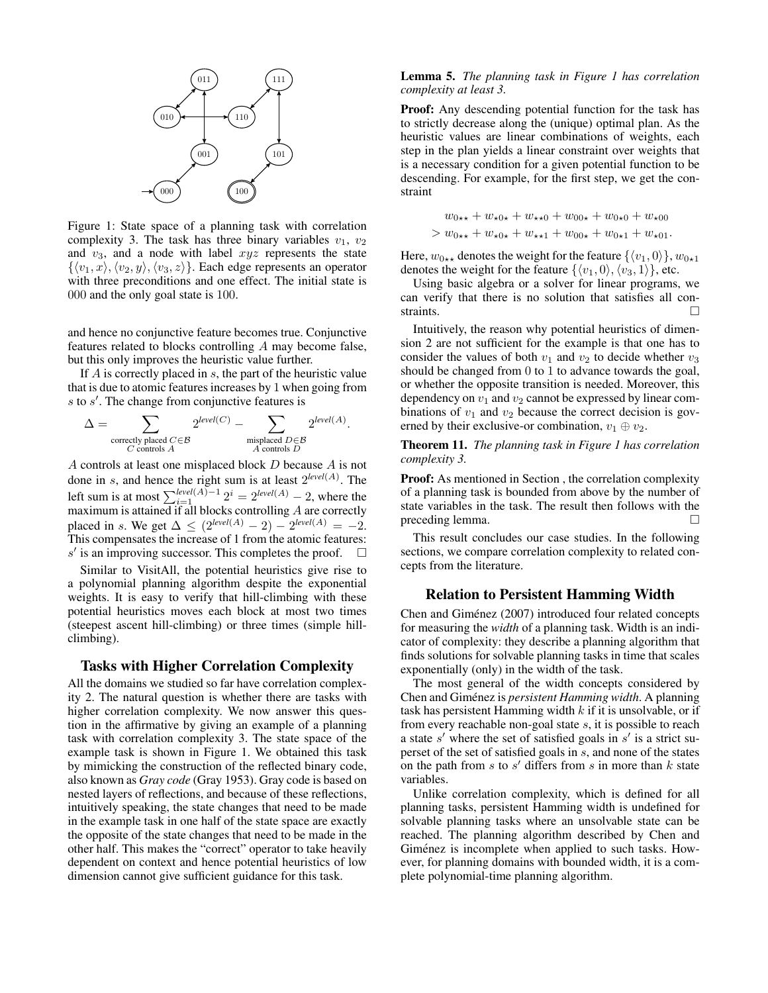

Figure 1: State space of a planning task with correlation complexity 3. The task has three binary variables  $v_1$ ,  $v_2$ and  $v_3$ , and a node with label  $xyz$  represents the state  $\{\langle v_1, x \rangle, \langle v_2, y \rangle, \langle v_3, z \rangle\}.$  Each edge represents an operator with three preconditions and one effect. The initial state is 000 and the only goal state is 100.

and hence no conjunctive feature becomes true. Conjunctive features related to blocks controlling A may become false, but this only improves the heuristic value further.

If  $A$  is correctly placed in  $s$ , the part of the heuristic value that is due to atomic features increases by 1 when going from  $s$  to  $s'$ . The change from conjunctive features is

$$
\Delta = \sum_{\substack{\text{correctly placed } C \in \mathcal{B} \\ C \text{ controls } A}} 2^{level(C)} - \sum_{\substack{\text{misplaced } D \in \mathcal{B} \\ A \text{ controls } D}} 2^{level(A)}.
$$

A controls at least one misplaced block D because A is not done in s, and hence the right sum is at least 2 *level*(A) . The left sum is at most  $\sum_{i=1}^{\text{level}(A)-1} 2^i = 2^{\text{level}(A)} - 2$ , where the maximum is attained if all blocks controlling  $A$  are correctly placed in s. We get  $\Delta \leq (2^{level(A)} - 2) - 2^{level(A)} = -2$ . This compensates the increase of 1 from the atomic features:  $s'$  is an improving successor. This completes the proof.  $\Box$ 

Similar to VisitAll, the potential heuristics give rise to a polynomial planning algorithm despite the exponential weights. It is easy to verify that hill-climbing with these potential heuristics moves each block at most two times (steepest ascent hill-climbing) or three times (simple hillclimbing).

# Tasks with Higher Correlation Complexity

All the domains we studied so far have correlation complexity 2. The natural question is whether there are tasks with higher correlation complexity. We now answer this question in the affirmative by giving an example of a planning task with correlation complexity 3. The state space of the example task is shown in Figure 1. We obtained this task by mimicking the construction of the reflected binary code, also known as *Gray code* (Gray 1953). Gray code is based on nested layers of reflections, and because of these reflections, intuitively speaking, the state changes that need to be made in the example task in one half of the state space are exactly the opposite of the state changes that need to be made in the other half. This makes the "correct" operator to take heavily dependent on context and hence potential heuristics of low dimension cannot give sufficient guidance for this task.

# Lemma 5. *The planning task in Figure 1 has correlation complexity at least 3.*

Proof: Any descending potential function for the task has to strictly decrease along the (unique) optimal plan. As the heuristic values are linear combinations of weights, each step in the plan yields a linear constraint over weights that is a necessary condition for a given potential function to be descending. For example, for the first step, we get the constraint

$$
w_{0\star\star} + w_{\star0\star} + w_{\star\star0} + w_{00\star} + w_{0\star0} + w_{\star00}
$$
  
>  $w_{0\star\star} + w_{\star0\star} + w_{\star\star1} + w_{00\star} + w_{0\star1} + w_{\star01}$ .

Here,  $w_{0**}$  denotes the weight for the feature  $\{\langle v_1, 0 \rangle\}$ ,  $w_{0**1}$ denotes the weight for the feature  $\{\langle v_1, 0 \rangle, \langle v_3, 1 \rangle\}$ , etc.

Using basic algebra or a solver for linear programs, we can verify that there is no solution that satisfies all constraints.  $\Box$ 

Intuitively, the reason why potential heuristics of dimension 2 are not sufficient for the example is that one has to consider the values of both  $v_1$  and  $v_2$  to decide whether  $v_3$ should be changed from 0 to 1 to advance towards the goal, or whether the opposite transition is needed. Moreover, this dependency on  $v_1$  and  $v_2$  cannot be expressed by linear combinations of  $v_1$  and  $v_2$  because the correct decision is governed by their exclusive-or combination,  $v_1 \oplus v_2$ .

Theorem 11. *The planning task in Figure 1 has correlation complexity 3.*

Proof: As mentioned in Section , the correlation complexity of a planning task is bounded from above by the number of state variables in the task. The result then follows with the preceding lemma.

This result concludes our case studies. In the following sections, we compare correlation complexity to related concepts from the literature.

# Relation to Persistent Hamming Width

Chen and Giménez (2007) introduced four related concepts for measuring the *width* of a planning task. Width is an indicator of complexity: they describe a planning algorithm that finds solutions for solvable planning tasks in time that scales exponentially (only) in the width of the task.

The most general of the width concepts considered by Chen and Giménez is *persistent Hamming width*. A planning task has persistent Hamming width  $k$  if it is unsolvable, or if from every reachable non-goal state s, it is possible to reach a state  $s'$  where the set of satisfied goals in  $s'$  is a strict superset of the set of satisfied goals in s, and none of the states on the path from  $s$  to  $s'$  differs from  $s$  in more than  $k$  state variables.

Unlike correlation complexity, which is defined for all planning tasks, persistent Hamming width is undefined for solvable planning tasks where an unsolvable state can be reached. The planning algorithm described by Chen and Giménez is incomplete when applied to such tasks. However, for planning domains with bounded width, it is a complete polynomial-time planning algorithm.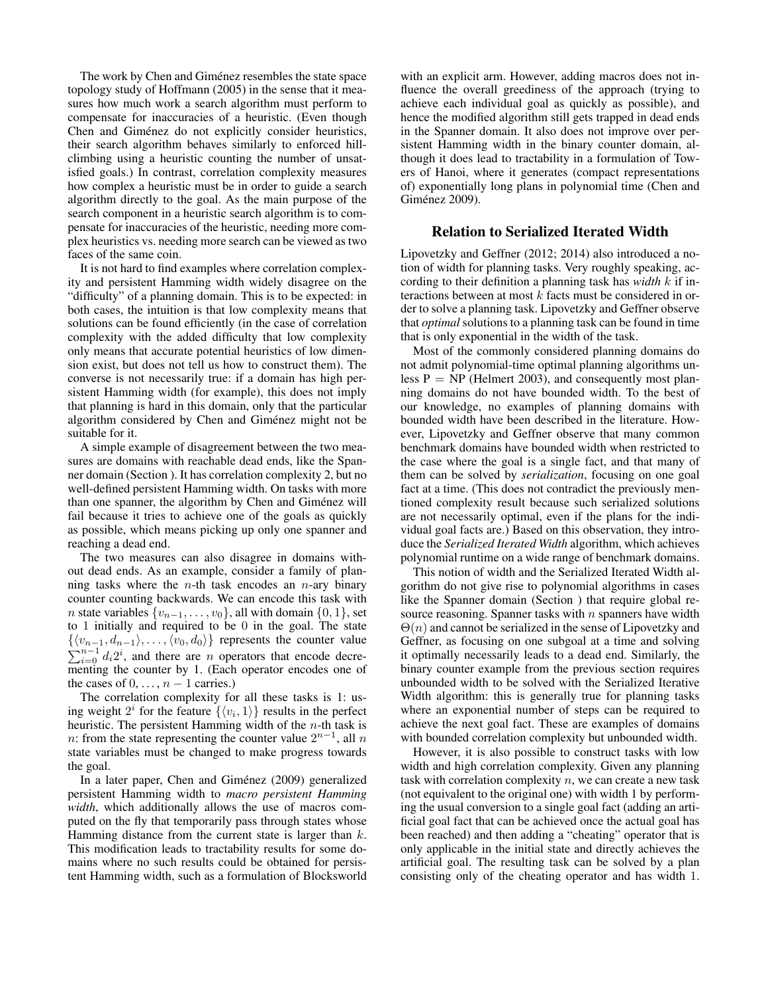The work by Chen and Giménez resembles the state space topology study of Hoffmann (2005) in the sense that it measures how much work a search algorithm must perform to compensate for inaccuracies of a heuristic. (Even though Chen and Giménez do not explicitly consider heuristics, their search algorithm behaves similarly to enforced hillclimbing using a heuristic counting the number of unsatisfied goals.) In contrast, correlation complexity measures how complex a heuristic must be in order to guide a search algorithm directly to the goal. As the main purpose of the search component in a heuristic search algorithm is to compensate for inaccuracies of the heuristic, needing more complex heuristics vs. needing more search can be viewed as two faces of the same coin.

It is not hard to find examples where correlation complexity and persistent Hamming width widely disagree on the "difficulty" of a planning domain. This is to be expected: in both cases, the intuition is that low complexity means that solutions can be found efficiently (in the case of correlation complexity with the added difficulty that low complexity only means that accurate potential heuristics of low dimension exist, but does not tell us how to construct them). The converse is not necessarily true: if a domain has high persistent Hamming width (for example), this does not imply that planning is hard in this domain, only that the particular algorithm considered by Chen and Giménez might not be suitable for it.

A simple example of disagreement between the two measures are domains with reachable dead ends, like the Spanner domain (Section ). It has correlation complexity 2, but no well-defined persistent Hamming width. On tasks with more than one spanner, the algorithm by Chen and Giménez will fail because it tries to achieve one of the goals as quickly as possible, which means picking up only one spanner and reaching a dead end.

The two measures can also disagree in domains without dead ends. As an example, consider a family of planning tasks where the *n*-th task encodes an *n*-ary binary counter counting backwards. We can encode this task with *n* state variables  $\{v_{n-1}, \ldots, v_0\}$ , all with domain  $\{0, 1\}$ , set to 1 initially and required to be 0 in the goal. The state  $\{\langle v_{n-1}, d_{n-1}\rangle, \ldots, \langle v_0, d_0\rangle\}$  represents the counter value  $\sum_{i=0}^{n-1} d_i 2^i$ , and there are n operators that encode decrementing the counter by 1. (Each operator encodes one of the cases of  $0, \ldots, n-1$  carries.)

The correlation complexity for all these tasks is 1: using weight  $2^i$  for the feature  $\{\langle v_i, 1 \rangle\}$  results in the perfect heuristic. The persistent Hamming width of the  $n$ -th task is n: from the state representing the counter value  $2^{n-1}$ , all n state variables must be changed to make progress towards the goal.

In a later paper, Chen and Giménez (2009) generalized persistent Hamming width to *macro persistent Hamming width*, which additionally allows the use of macros computed on the fly that temporarily pass through states whose Hamming distance from the current state is larger than  $k$ . This modification leads to tractability results for some domains where no such results could be obtained for persistent Hamming width, such as a formulation of Blocksworld

with an explicit arm. However, adding macros does not influence the overall greediness of the approach (trying to achieve each individual goal as quickly as possible), and hence the modified algorithm still gets trapped in dead ends in the Spanner domain. It also does not improve over persistent Hamming width in the binary counter domain, although it does lead to tractability in a formulation of Towers of Hanoi, where it generates (compact representations of) exponentially long plans in polynomial time (Chen and Giménez 2009).

# Relation to Serialized Iterated Width

Lipovetzky and Geffner (2012; 2014) also introduced a notion of width for planning tasks. Very roughly speaking, according to their definition a planning task has *width* k if interactions between at most  $k$  facts must be considered in order to solve a planning task. Lipovetzky and Geffner observe that *optimal* solutions to a planning task can be found in time that is only exponential in the width of the task.

Most of the commonly considered planning domains do not admit polynomial-time optimal planning algorithms unless  $P = NP$  (Helmert 2003), and consequently most planning domains do not have bounded width. To the best of our knowledge, no examples of planning domains with bounded width have been described in the literature. However, Lipovetzky and Geffner observe that many common benchmark domains have bounded width when restricted to the case where the goal is a single fact, and that many of them can be solved by *serialization*, focusing on one goal fact at a time. (This does not contradict the previously mentioned complexity result because such serialized solutions are not necessarily optimal, even if the plans for the individual goal facts are.) Based on this observation, they introduce the *Serialized Iterated Width* algorithm, which achieves polynomial runtime on a wide range of benchmark domains.

This notion of width and the Serialized Iterated Width algorithm do not give rise to polynomial algorithms in cases like the Spanner domain (Section ) that require global resource reasoning. Spanner tasks with  $n$  spanners have width  $\Theta(n)$  and cannot be serialized in the sense of Lipovetzky and Geffner, as focusing on one subgoal at a time and solving it optimally necessarily leads to a dead end. Similarly, the binary counter example from the previous section requires unbounded width to be solved with the Serialized Iterative Width algorithm: this is generally true for planning tasks where an exponential number of steps can be required to achieve the next goal fact. These are examples of domains with bounded correlation complexity but unbounded width.

However, it is also possible to construct tasks with low width and high correlation complexity. Given any planning task with correlation complexity  $n$ , we can create a new task (not equivalent to the original one) with width 1 by performing the usual conversion to a single goal fact (adding an artificial goal fact that can be achieved once the actual goal has been reached) and then adding a "cheating" operator that is only applicable in the initial state and directly achieves the artificial goal. The resulting task can be solved by a plan consisting only of the cheating operator and has width 1.